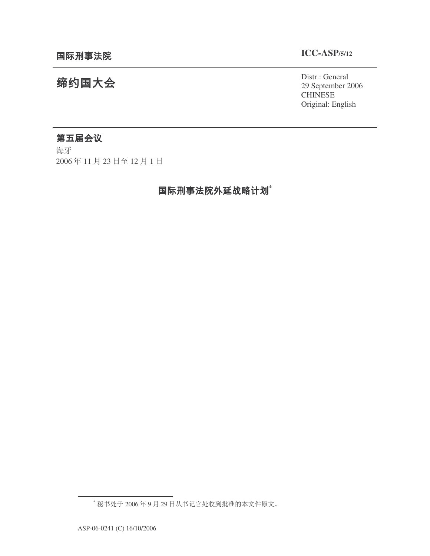# **ICC-ASP/5/12**

Distr.: General 29 September 2006 **CHINESE** Original: English

# 缔约国大会

# 第五届会议

海牙 2006年11月23日至12月1日

# 国际刑事法院外延战略计划<sup>\*</sup>

<sup>\*</sup> 秘书处于2006年9月29日从书记官处收到批准的本文件原文。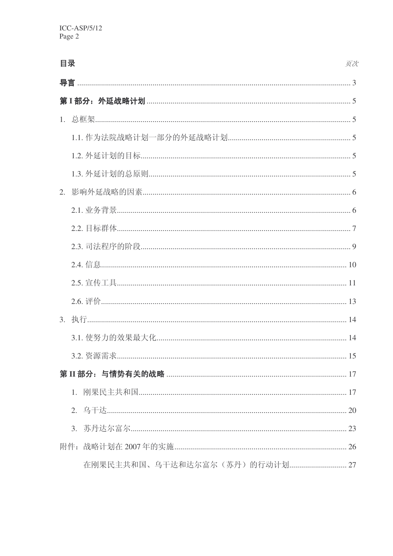| 目录 |    | 页次 |
|----|----|----|
| 导言 |    |    |
|    |    |    |
|    |    |    |
|    |    |    |
|    |    |    |
|    |    |    |
|    |    |    |
|    |    |    |
|    |    |    |
|    |    |    |
|    |    |    |
|    |    |    |
|    |    |    |
|    |    |    |
|    |    |    |
|    |    |    |
|    |    |    |
|    | 1. |    |
|    |    |    |
|    | 3. |    |
|    |    |    |
|    |    |    |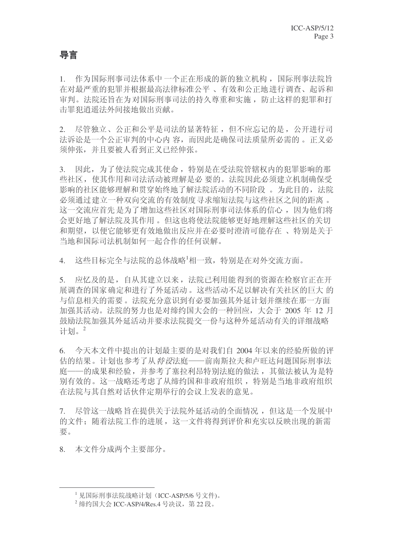# 导言

1. 作为国际刑事司法体系中一个正在形成的新的独立机构, 国际刑事法院旨 在对最严重的犯罪并根据最高法律标准公平、有效和公正地进行调查、起诉和 审判。法院还旨在为对国际刑事司法的持久尊重和实施,防止这样的犯罪和打 击罪犯消遥法外间接地做出贡献。

2. 尽管独立、公正和公平是司法的显著特征,但不应忘记的是,公开进行司 法诉讼是一个公正审判的中心内 容, 而因此是确保司法质量所必需的。正义必 须伸张,并且要被人看到正义已经伸张。

3. 因此,为了使法院完成其使命,特别是在受法院管辖权内的犯罪影响的那 些社区, 使其作用和司法活动被理解是必要的。法院因此必须建立机制确保受 影响的社区能够理解和贯穿始终地了解法院活动的不同阶段。为此目的, 法院 必须通过建立一种双向交流的有效制度寻求缩短法院与这些社区之间的距离。 这一交流应首先是为了增加这些社区对国际刑事司法体系的信心,因为他们将 会更好地了解法院及其作用。 但这也将使法院能够更好地理解这些社区的关切 和期望, 以便它能够更有效地做出反应并在必要时澄清可能存在、特别是关于 当地和国际司法机制如何一起合作的任何误解。

4. 这些目标完全与法院的总体战略<sup>1</sup>相一致,特别是在对外交流方面。

5. 应忆及的是, 自从其建立以来, 法院已利用能得到的资源在检察官正在开 展调查的国家确定和进行了外延活动。这些活动不足以解决有关社区的巨大的 与信息相关的需要。法院充分意识到有必要加强其外延计划并继续在那一方面 加强其活动。法院的努力也是对缔约国大会的一种回应, 大会于 2005 年 12 月 鼓励法院加强其外延活动并要求法院提交一份与这种外延活动有关的详细战略 计划。2

6. 今天本文件中提出的计划最主要的是对我们自 2004 年以来的经验所做的评 估的结果。计划也参考了从*特设*法庭——前南斯拉夫和卢旺达问题国际刑事法 庭——的成果和经验, 并参考了塞拉利昂特别法庭的做法, 其做法被认为是特 别有效的。这一战略还考虑了从缔约国和非政府组织,特别是当地非政府组织 在法院与其自然对话伙伴定期举行的会议上发表的意见。

7. 尽管这一战略旨在提供关于法院外延活动的全面情况, 但这是一个发展中 的文件;随着法院工作的进展,这一文件将得到评价和充实以反映出现的新需 要。

8. 本文件分成两个主要部分。

<sup>1</sup> 见国际刑事法院战略计划(ICC-ASP/5/6 号文件)。

 $2 \frac{2}{3}$  绮国大会 ICC-ASP/4/Res.4 号决议, 第22 段。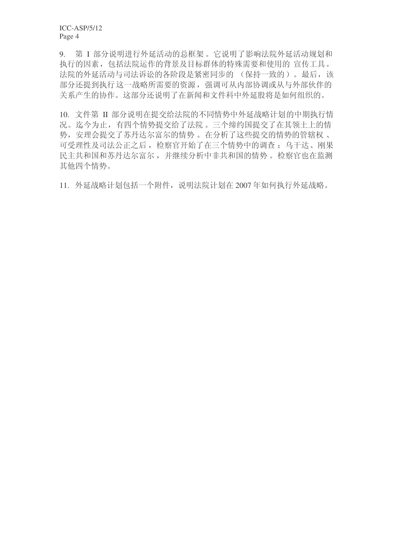9. 第 I 部分说明进行外延活动的总框架。它说明了影响法院外延活动规划和 执行的因素, 包括法院运作的背景及目标群体的特殊需要和使用的 宣传工具。 法院的外延活动与司法诉讼的各阶段是紧密同步的 (保持一致的)。最后, 该 部分还提到执行这一战略所需要的资源, 强调可从内部协调或从与外部伙伴的 关系产生的协作。这部分还说明了在新闻和文件科中外延股将是如何组织的。

10. 文件第 II 部分说明在提交给法院的不同情势中外延战略计划的中期执行情 况。迄今为止, 有四个情势提交给了法院。三个缔约国提交了在其领土上的情 势, 安理会提交了苏丹达尔富尔的情势 。在分析了这些提交的情势的管辖权、 可受理性及司法公正之后, 检察官开始了在三个情势中的调查: 乌干达、刚果 民主共和国和苏丹达尔富尔,并继续分析中非共和国的情势。 检察官也在监测 其他四个情势。

11. 外延战略计划有一个附件,说明法院计划在 2007年如何执行外延战略。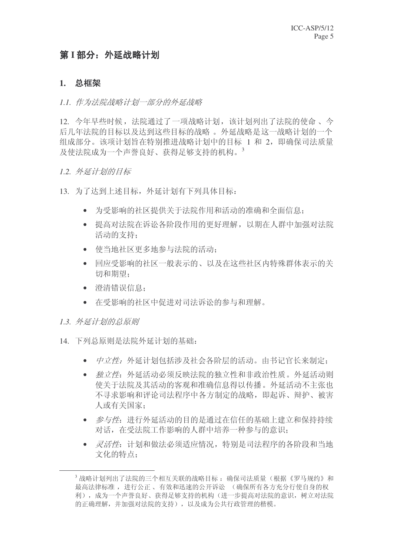# 第<sup>I </sup> 部分: 外延战略计划

### 1. 总框架

#### 1.1. 作为法院战略计划一部分的外延战略

12. 今年早些时候, 法院通过了一项战略计划, 该计划列出了法院的使命、今 后几年法院的目标以及达到这些目标的战略。 外延战略是这一战略计划的一个 组成部分。该项计划旨在特别推进战略计划中的目标 1和 2, 即确保司法质量  $B\overline{\psi}$ 使法院成为一个声誉良好、获得足够支持的机构。

## 1.2. 外延计划的目标

- 13. 为了达到上述目标, 外延计划有下列具体目标:
	- 为受影响的社区提供关于法院作用和活动的准确和全面信息:
	- 提高对法院在诉讼各阶段作用的更好理解, 以期在人群中加强对法院 活动的支持:
	- 使当地社区更多地参与法院的活动;
	- 回应受影响的社区一般表示的、以及在这些社区内特殊群体表示的关 切和期望:
	- 澄清错误信息:
	- 在受影响的社区中促讲对司法诉讼的参与和理解。
- 1.3. 外延计划的总原则
- 14. 下列总原则是法院外延计划的基础:
	- 中立性: 外延计划包括涉及社会各阶层的活动。由书记官长来制定;
	- 独立件: 外延活动必须反映法院的独立性和非政治性质。外延活动则 使关于法院及其活动的客观和准确信息得以传播。外延活动不主张也 不寻求影响和评论司法程序中各方制定的战略,即起诉、辩护、被害 人或有关国家:
	- 参与性: 进行外延活动的目的是通过在信任的基础上建立和保持持续 对话, 在受法院工作影响的人群中培养一种参与的意识:
	- 灵活性: 计划和做法必须适应情况, 特别是司法程序的各阶段和当地 文化的特点:

 $^3$ 战略计划列出了法院的三个相互关联的战略目标: 确保司法质量(根据《罗马规约》和 最高法律标准, 进行公正、有效和迅速的公开诉讼。(确保所有各方充分行使自身的权 利), 成为一个声誉良好、获得足够支持的机构(进一步提高对法院的意识, 树立对法院 的正确理解,并加强对法院的支持),以及成为公共行政管理的楷模。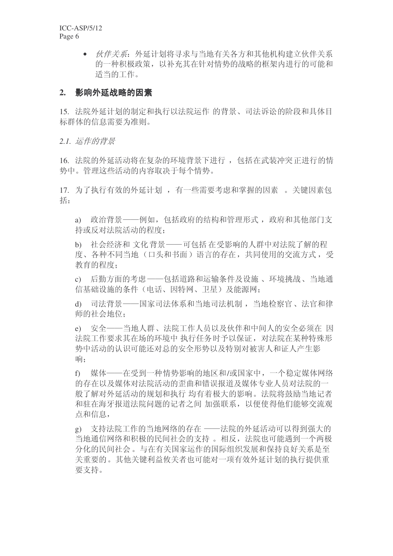> • 伙伴关系: 外延计划将寻求与当地有关各方和其他机构建立伙伴关系 的一种积极政策,以补充其在针对情势的战略的框架内讲行的可能和 适当的工作。

## 2. 影响外延战略的因素

15. 法院外延计划的制定和执行以法院运作 的背景、司法诉讼的阶段和具体目 标群体的信息需要为准则。

2.1. 运作的背景

16. 法院的外延活动将在复杂的环境背景下进行, 包括在武装冲突正进行的情 势中。管理这些活动的内容取决于每个情势。

17. 为了执行有效的外延计划, 有一些需要考虑和掌握的因素。关键因素包 括:

a) 政治背景——例如, 包括政府的结构和管理形式, 政府和其他部门支 持或反对法院活动的程度:

b) 社会经济和文化背景——可包括在受影响的人群中对法院了解的程 度、各种不同当地(口头和书面)语言的存在,共同使用的交流方式,受 教育的程度:

c) 后勤方面的考虑 ——包括道路和运输条件及设施、环境挑战、当地通 信基础设施的条件(电话、因特网、卫星)及能源网:

d) 司法背景——国家司法体系和当地司法机制, 当地检察官、法官和律 师的社会地位:

e) 安全——当地人群、法院工作人员以及伙伴和中间人的安全必须在 因 法院工作要求其在场的环境中 执行任务时予以保证, 对法院在某种特殊形 势中活动的认识可能还对总的安全形势以及特别对被害人和证人产生影 响:

f) 媒体——在受到一种情势影响的地区和/或国家中, 一个稳定媒体网络 的存在以及媒体对法院活动的歪曲和错误报道及媒体专业人员对法院的一 般了解对外延活动的规划和执行 均有着极大的影响。法院将鼓励当地记者 和驻在海牙报道法院问题的记者之间 加强联系, 以便使得他们能够交流观 点和信息,

g) 支持法院工作的当地网络的存在 -- 法院的外延活动可以得到强大的 当地通信网络和积极的民间社会的支持。相反, 法院也可能遇到一个两极 分化的民间社会。与在有关国家运作的国际组织发展和保持良好关系是至 关重要的。其他关键利益攸关者也可能对一项有效外延计划的执行提供重 要支持。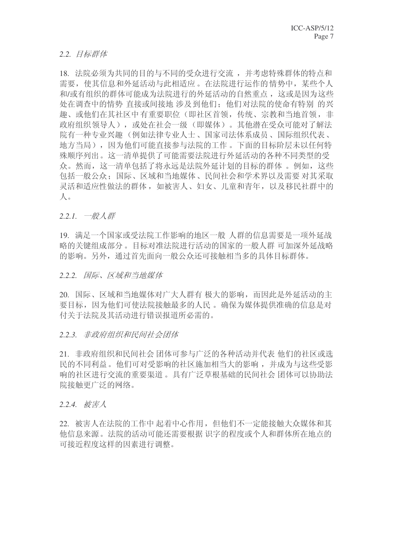2.2. 目标群体

18. 法院必须为共同的目的与不同的受众进行交流, 并考虑特殊群体的特点和 需要, 使其信息和外延活动与此相适应。在法院进行运作的情势中, 某些个人 和/或有组织的群体可能成为法院讲行的外延活动的自然重点, 这或是因为这些 处在调查中的情势 直接或间接地 涉及到他们; 他们对法院的使命有特别 的兴 趣、或他们在其社区中有重要职位(即社区首领,传统、宗教和当地首领,非 政府组织领导人),或处在社会一级(即媒体)。其他潜在受众可能对了解法 院有一种专业兴趣(例如法律专业人士、国家司法体系成员、国际组织代表、 地方当局),因为他们可能直接参与法院的工作。下面的目标阶层未以任何特 殊顺序列出。这一清单提供了可能需要法院进行外延活动的各种不同类型的受 众。然而, 这一清单包括了将永远是法院外延计划的目标的群体 。例如, 这些 包括一般公众:国际、区域和当地媒体、民间社会和学术界以及需要对其采取 灵活和适应性做法的群体, 如被害人、妇女、儿童和青年, 以及移民社群中的  $\Lambda$ .

2.2.1. 一般人群

19. 满足一个国家或受法院工作影响的地区一般 人群的信息需要是一项外延战 略的关键组成部分。目标对准法院进行活动的国家的一般人群 可加深外延战略 的影响。另外,通过首先面向一般公众还可接触相当多的具体目标群体。

2.2.2. 国际、区域和当地媒体

20. 国际、区域和当地媒体对广大人群有极大的影响,而因此是外延活动的主 要目标,因为他们可使法院接触最多的人民。确保为媒体提供准确的信息是对 付关于法院及其活动进行错误报道所必需的。

#### 2.2.3. 非政府组织和民间社会团体

21. 非政府组织和民间社会 团体可参与广泛的各种活动并代表 他们的社区或选 民的不同利益。他们可对受影响的社区施加相当大的影响, 并成为与这些受影 响的社区进行交流的重要渠道。具有广泛草根基础的民间社会团体可以协助法 院接触更广泛的网络。

#### 2.2.4. 被害人

22. 被害人在法院的工作中起着中心作用, 但他们不一定能接触大众媒体和其 他信息来源。洪院的活动可能还需要根据 识字的程度或个人和群体所在地点的 可接近程度这样的因素进行调整。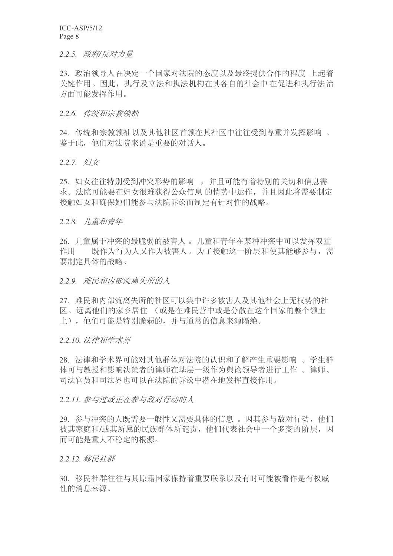#### 2.2.5. 政府/反对力量

23. 政治领导人在决定一个国家对法院的态度以及最终提供合作的程度 上起着 关键作用。因此, 执行及立法和执法机构在其各自的社会中 在促进和执行法治 方面可能发挥作用。

#### 2.2.6. 传统和宗教领袖

24. 传统和宗教领袖以及其他社区首领在其社区中往往受到尊重并发挥影响 。 鉴于此, 他们对法院来说是重要的对话人。

2.2.7. 妇女

25. 妇女往往特别受到冲突形势的影响,并且可能有着特别的关切和信息需 求。法院可能要在妇女很难获得公众信息的情势中运作,并且因此将需要制定 接触妇女和确保她们能参与法院诉讼而制定有针对性的战略。

#### 2.2.8. 儿童和青年

26. 儿童属于冲突的最脆弱的被害人。儿童和青年在某种冲突中可以发挥双重 作用——既作为行为人又作为被害人。为了接触这一阶层和使其能够参与, 需 要制定具体的战略。

2.2.9. 难民和内部流离失所的人

27. 难民和内部流离失所的社区可以集中许多被害人及其他社会上无权势的社 区。远离他们的家乡居住 (或是在难民营中或是分散在这个国家的整个领土 上), 他们可能是特别脆弱的, 并与通常的信息来源隔绝。

2.2.10. 法律和学术界

28. 法律和学术界可能对其他群体对法院的认识和了解产生重要影响。学生群 体可与教授和影响决策者的律师在基层一级作为舆论领导者进行工作 。律师、 司法官员和司法界也可以在法院的诉讼中潜在地发挥直接作用。

2.2.11. 参与过或正在参与敌对行动的人

29. 参与冲突的人既需要一般性又需要具体的信息。因其参与敌对行动, 他们 被其家庭和/或其所属的民族群体所谴责, 他们代表社会中一个多变的阶层, 因 而可能是重大不稳定的根源。

2.2.12. 移民社群

30. 移民社群往往与其原籍国家保持着重要联系以及有时可能被看作是有权威 性的消息来源。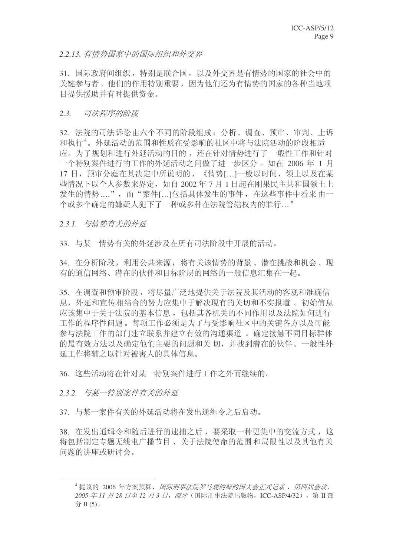### 2.2.13. 有情势国家中的国际组织和外交界

31. 国际政府间组织,特别是联合国,以及外交界是有情势的国家的社会中的 关键参与者。他们的作用特别重要,因为他们还为有情势的国家的各种当地项 目提供援助并有时提供资金。

#### 2.3. 司法程序的阶段

32. 法院的司法诉讼由六个不同的阶段组成: 分析、调查、预审、审判、上诉 和执行<sup>4</sup>。外延活动的范围和性质在受影响的社区中将与法院活动的阶段相话 应。为了规划和进行外延活动的目的,还在针对情势进行了一般性工作和针对 一个特别案件进行的工作的外延活动之间做了进一步区分。如在 2006 年 1 月 17 日, 预审分庭在其决定中所说明的, 《情势[...]一般以时间、领土以及在某 些情况下以个人参数来界定,如自 2002年7月1日起在刚果民主共和国领土上 发生的情势....",而"案件[...]句括具体发生的事件, 在这些事件中看来由一 个或多个确定的嫌疑人犯下了一种或多种在法院管辖权内的罪行…"

2.3.1. 与情势有关的外延

33. 与某一情势有关的外延涉及在所有司法阶段中开展的活动。

34. 在分析阶段, 利用公共来源, 将有关该情势的背景、潜在挑战和机会、现 有的通信网络、潜在的伙伴和目标阶层的网络的一般信息汇集在一起。

35. 在调查和预审阶段, 将尽量广泛地提供关于法院及其活动的客观和准确信 息, 外延和宣传相结合的努力应集中于解决现有的关切和不实报道 。初始信息 应该集中于关于法院的基本信息, 包括其各机关的不同作用以及法院如何进行 工作的程序性问题。每项工作必须是为了与受影响社区中的关键各方以及可能 参与法院工作的部门建立联系并建立有效的沟通渠道。 确定接触不同目标群体 的最有效方法以及确定他们主要的问题和关切,并找到潜在的伙伴。一般性外 延工作将辅之以针对被害人的具体信息。

36. 这些活动将在针对某一特别案件讲行工作之外而继续的。

2.3.2. 与某一特别案件有关的外征

37. 与某一案件有关的外延活动将在发出通缉令之后启动。

38. 在发出通缉令和随后进行的逮捕之后, 要采取一种更集中的交流方式, 这 将包括制定专题无线电广播节目、关于法院使命的范围和局限性以及其他有关 问题的讲座或研讨会。

<sup>4</sup> 提议的 2006 年方案预算, 国际刑事法院罗马规约缔约国大会正式记录, 第四届会议, 2005 年 11 月 28 日至 12 月 3 日, 海牙 (国际刑事法院出版物, ICC-ASP/4/32), 第 Ⅱ 部  $\hat{H}$  B  $(5)$ <sub>o</sub>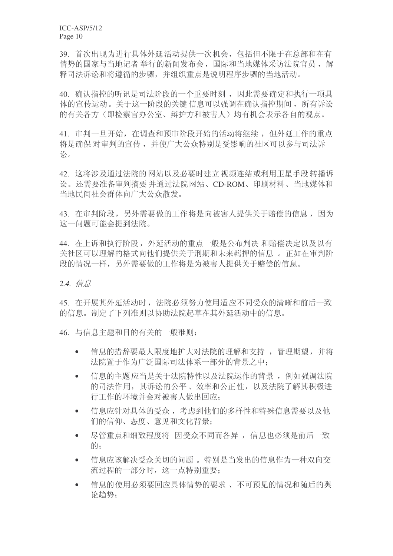39. 首次出现为进行具体外延活动提供一次机会,包括但不限于在总部和在有 情势的国家与当地记者举行的新闻发布会, 国际和当地媒体采访法院官员, 解 释司法诉讼和将遵循的步骤,并组织重点是说明程序步骤的当地活动。

40. 确认指控的听讯是司法阶段的一个重要时刻, 因此需要确定和执行一项具 体的宣传运动。关于这一阶段的关键信息可以强调在确认指控期间,所有诉讼 的有关各方(即检察官办公室、辩护方和被害人)均有机会表示各自的观点。

41. 审判一旦开始, 在调查和预审阶段开始的活动将继续, 但外延工作的重点 将是确保 对审判的宣传, 并使广大公众特别是受影响的社区可以参与司法诉 讼。

42. 这将涉及通过法院的网站以及必要时建立视频连结或利用卫星手段转播诉 讼。还需要准备审判摘要并通过法院网站、CD-ROM、印刷材料、当地媒体和 当地民间社会群体向广大公众散发。

43. 在审判阶段, 另外需要做的工作将是向被害人提供关于赔偿的信息, 因为 这一问题可能会提到法院。

44. 在上诉和执行阶段, 外延活动的重点一般是公布判决 和赔偿决定以及以有 关社区可以理解的格式向他们提供关于刑期和未来羁押的信息。正如在审判阶 段的情况一样,另外需要做的工作将是为被害人提供关于赔偿的信息。

2.4. 信息

45. 在开展其外延活动时, 法院必须努力使用活应不同受众的清晰和前后一致 的信息。制定了下列准则以协助法院起草在其外延活动中的信息。

46. 与信息主题和目的有关的一般准则:

- 信息的措辞要最大限度地扩大对法院的理解和支持, 管理期望, 并将 法院置于作为广泛国际司法体系一部分的背景之中;
- 信息的主题应当是关于法院特性以及法院运作的背景, 例如强调法院 的司法作用, 其诉讼的公平、效率和公正性, 以及法院了解其积极进 行工作的环境并会对被害人做出回应:
- 信息应针对具体的受众, 考虑到他们的多样性和特殊信息需要以及他 们的信仰、态度、意见和文化背景;
- 尽管重点和细致程度将 因受众不同而各异, 信息也必须是前后一致 的:
- 信息应该解决受众关切的问题。特别是当发出的信息作为一种双向交 流讨程的一部分时, 这一点特别重要:
- 信息的使用必须要回应具体情势的要求、不可预见的情况和随后的舆 论趋势: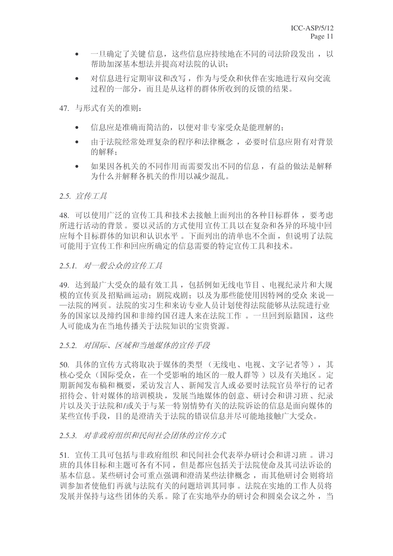- 一旦确定了关键信息,这些信息应持续地在不同的司法阶段发出, 以 帮助加深基本想法并提高对法院的认识:
- 对信息进行定期审议和改写, 作为与受众和伙伴在实地进行双向交流 过程的一部分,而且是从这样的群体所收到的反馈的结果。
- 47. 与形式有关的准则:
	- 信息应是准确而简洁的, 以便对非专家受众是能理解的:
	- 由于法院经常处理复杂的程序和法律概念, 必要时信息应附有对背景 的解释:
	- 如果因各机关的不同作用而需要发出不同的信息,有益的做法是解释 为什么并解释各机关的作用以减少混乱。

#### 2.5. 宣传*工具*

48. 可以使用广泛的 宣传工具和技术去接触上面列出的各种目标群体, 要考虑 所进行活动的背景。要以灵活的方式使用宣传工具以在复杂和各异的环境中回 应每个目标群体的知识和认识水平。下面列出的清单也不全面,但说明了法院 可能用于宣传工作和回应所确定的信息需要的特定宣传工具和技术。

### 2.5.1. 对一般公众的宣传工具

49. 达到最广大受众的最有效工具, 包括例如无线电节目、电视纪录片和大规 模的宣传页及招贴画运动:剧院戏剧:以及为那些能使用因特网的受众来说一 一法院的网页。法院的实习生和来访专业人员计划使得法院能够从法院进行业 务的国家以及缔约国和非缔约国召讲人来在法院工作。一旦回到原籍国, 这些 人可能成为在当地传播关于法院知识的宝贵资源。

#### 2.5.2. 对国际、区域和当地媒体的宣传手段

50. 具体的宣传方式将取决于媒体的类型 (无线电、电视、文字记者等), 其 核心受众(国际受众, 在一个受影响的地区的一般人群等)以及有关地区。定 期新闻发布稿和概要,采访发言人、新闻发言人或必要时法院官员举行的记者 招待会、针对媒体的培训模块,发展当地媒体的创意、研讨会和讲习班、纪录 片以及关于法院和/或关于与某一特别情势有关的法院诉讼的信息是面向媒体的 某些宣传手段, 目的是澄清关于法院的错误信息并尽可能地接触广大受众。

# 2.5.3. 对非政府组织和民间社会团体的宣传方式

51. 宣传工具可包括与非政府组织 和民间社会代表举办研讨会和讲习班。讲习 班的具体目标和主题可各有不同,但是都应包括关于法院使命及基司法诉讼的 基本信息。某些研讨会可重点强调和澄清某些法律概念,而其他研讨会则将培 训参加者使他们再就与法院有关的问题培训其同事。法院在实地的工作人员将 发展并保持与这些团体的关系。除了在实地举办的研讨会和圆桌会议之外, 当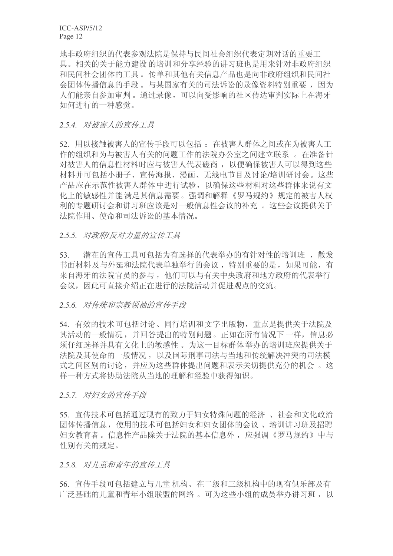地非政府组织的代表参观法院是保持与民间社会组织代表定期对话的重要工 具。相关的关于能力建设的培训和分享经验的讲习班也是用来针对非政府组织 和民间社会团体的工具。传单和其他有关信息产品也是向非政府组织和民间社 会团体传播信息的手段。与某国家有关的司法诉讼的录像资料特别重要,因为 人们能亲自参加审判。通过录像,可以向受影响的社区传达审判实际上在海牙 如何讲行的一种感觉。

#### 2.5.4. 对被害人的宣传工具

52. 用以接触被害人的宣传手段可以包括: 在被害人群体之间或在为被害人工 作的组织和为与被害人有关的问题工作的法院办公室之间建立联系 。在准备针 对被害人的信息性材料时应与被害人代表磋商,以便确保被害人可以得到这些 材料并可包括小册子、宣传海报、漫画、无线电节目及讨论/培训研讨会。这些 产品应在示范性被害人群体中讲行试验,以确保这些材料对这些群体来说有文 化上的敏感性并能满足其信息需要。强调和解释《罗马规约》规定的被害人权 利的专题研讨会和讲习班应该是对一般信息性会议的补充。这些会议提供关于 法院作用、使命和司法诉讼的基本情况。

#### 2.5.5. 对政府/反对力量的宣传工具

53. 潜在的宣传工具可包括为有选择的代表举办的有针对性的培训班, 散发 书面材料及与外延和法院代表单独举行的会议, 特别重要的是, 如果可能, 有 来自海牙的法院官员的参与, 他们可以与有关中央政府和地方政府的代表举行 会议,因此可直接介绍正在进行的法院活动并促进观点的交流。

#### 2.5.6. 对传统和宗教领袖的宣传手段

54. 有效的技术可包括讨论、同行培训和文字出版物, 重点是提供关于法院及 其活动的一般情况, 并回答提出的特别问题。正如在所有情况下一样, 信息必 须仔细选择并具有文化上的敏感性。为这一目标群体举办的培训班应提供关于 法院及其使命的一般情况, 以及国际刑事司法与当地和传统解决冲突的司法模 式之间区别的讨论, 并应为这些群体提出问题和表示关切提供充分的机会。这 样一种方式将协助法院从当地的理解和经验中获得知识。

#### 2.5.7. 对妇女的宣传手段

55. 宣传技术可包括通过现有的致力于妇女特殊问题的经济、社会和文化政治 团体传播信息, 使用的技术可包括妇女和妇女团体的会议、培训讲习班及招聘 妇女教育者。信息性产品除关于法院的基本信息外, 应强调《罗马规约》中与 性别有关的规定。

#### 2.5.8. 对儿童和青年的宣传工具

56. 宣传手段可包括建立与儿童机构、在二级和三级机构中的现有俱乐部及有 广泛基础的儿童和青年小组联盟的网络。可为这些小组的成员举办讲习班,以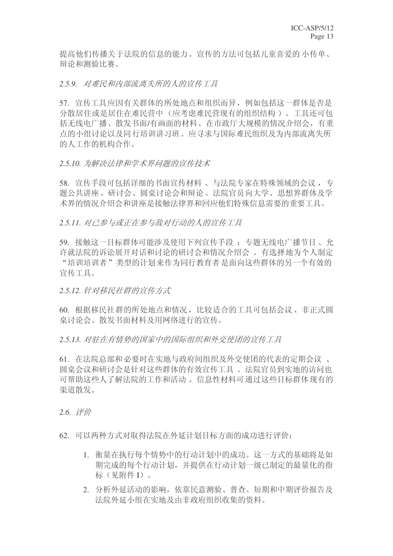提高他们传播关于法院的信息的能力。宣传的方法可包括儿童喜爱的小传单、 辩论和测验比赛。

2.5.9. 对难民和内部流离失所的人的宣传工具

57. 宣传工具应因有关群体的所处地点和组织而异, 例如包括这一群体是否是 分散居住或是居住在难民营中(应考虑难民营现有的组织结构)。丁具还可包 括无线电广播、散发书面/有画面的材料、在市政厅大规模的情况介绍会, 有重 点的小组讨论以及同行培训讲习班。应寻求与国际难民组织及为内部流离失所 的人工作的机构合作。

### 2.5.10. 为解决法律和学术界问题的宣传技术

58. 宣传手段可包括详细的书面宣传材料、与法院专家在特殊领域的会议, 专 题公共讲座、研讨会、圆桌讨论会和辩论。法院官员向大学、思想界群体及学 术界的情况介绍会和讲座是接触法律界和回应他们特殊信息需要的重要工具。

2.5.11. 对已参与或正在参与敌对行动的人的宣传工具

59. 接触这一目标群体可能涉及使用下列宣传手段: 专题无线电广播节目、允 许就法院的诉讼展开对话和讨论的研讨会和情况介绍会。有选择地为个人制定 "培训培训者"类型的计划来作为同行教育者是面向这些群体的另一个有效的 宣传工具。

2.5.12. 针对移民社群的宣传方式

60. 根据移民社群的所处地点和情况, 比较适合的工具可包括会议、非正式圆 桌讨论会、散发书面材料及用网络讲行的宣传。

2.5.13. 对驻在有情势的国家中的国际组织和外交使团的宣传工具

61. 在法院总部和必要时在实地与政府间组织及外交使团的代表的定期会议、 圆桌会议和研讨会是针对这些群体的有效宣传工具 。 法院官员到实地的访问也 可帮助这些人了解法院的工作和活动。信息性材料可通过这些目标群体现有的 渠道散发。

**2.6.** 评价

62. 可以两种方式对取得法院在外延计划目标方面的成功进行评价:

- 1. 衝量在执行每个情势中的行动计划中的成功。这一方式的基础将是如 期完成的每个行动计划,并提供在行动计划一级已制定的最量化的指 标(见附件I)。
- 2. 分析外延活动的影响, 依靠民意测验、普查、短期和中期评价报告及 法院外延小组在实地及由非政府组织收集的资料。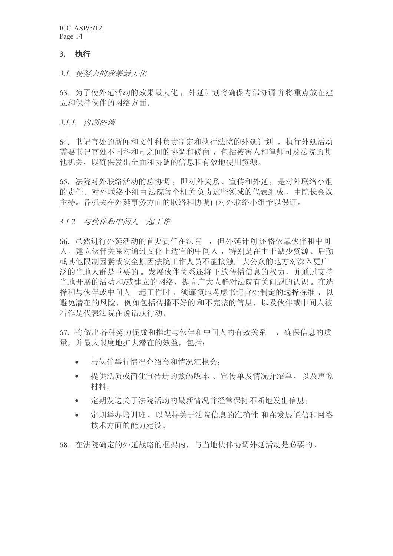### 3. 执行

3.1. 使努力的效果最大化

63. 为了使外延活动的效果最大化, 外延计划将确保内部协调并将重点放在建 立和保持伙伴的网络方面。

3.1.1. 内部协调

64. 书记官处的新闻和文件科负责制定和执行法院的外延计划, 执行外延活动 需要书记官处不同科和司之间的协调和磋商, 包括被害人和律师司及法院的其 他机关, 以确保发出全面和协调的信息和有效地使用资源。

65. 法院对外联络活动的总协调, 即对外关系、宣传和外延, 是对外联络小组 的责任。对外联络小组由法院每个机关负责这些领域的代表组成,由院长会议 主持。各机关在外延事务方面的联络和协调由对外联络小组予以保证。

3.1.2. 与伙伴和中间人一起工作

66. 虽然进行外延活动的首要责任在法院, 但外延计划还将依靠伙伴和中间 人。建立伙伴关系对通过文化上适宜的中间人,特别是在由于缺少资源、后勤 或其他限制因素或安全原因法院工作人员不能接触广大公众的地方对深入更广 泛的当地人群是重要的。发展伙伴关系还将下放传播信息的权力,并通过支持 当地开展的活动和/或建立的网络,提高广大人群对法院有关问题的认识。在选 择和与伙伴或中间人一起工作时, 须谨慎地考虑书记官处制定的选择标准, 以 避免潜在的风险, 例如包括传播不好的和不完整的信息, 以及伙伴或中间人被 看作是代表法院在说话或行动。

67. 将做出各种努力促成和推进与伙伴和中间人的有效关系,,确保信息的质 量,并最大限度地扩大潜在的效益,包括:

- 与伙伴举行情况介绍会和情况汇报会;
- 提供纸质或简化宣传册的数码版本、宣传单及情况介绍单,以及声像 材料:
- 定期发送关于法院活动的最新情况并经常保持不断地发出信息:
- 定期举办培训班, 以保持关于法院信息的准确性 和在发展通信和网络 技术方面的能力建设。
- 68. 在法院确定的外延战略的框架内, 与当地伙伴协调外延活动是必要的。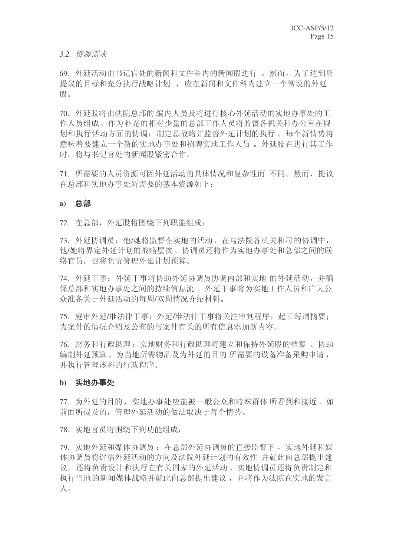#### 3.2. 资源需求

69. 外延活动由书记官处的新闻和文件科内的新闻股进行。然而,为了达到所 提议的目标和充分执行战略计划,应在新闻和文件科内建立一个常设的外延 股。

70. 外延股将由法院总部的编内人员及将进行核心外延活动的实地办事处的工 作人员组成。作为补充的相对少量的总部工作人员将监督各机关和办公室在规 划和执行活动方面的协调: 制定总战略并监督外延计划的执行。每个新情势将 意味着要建立一个新的实地办事处和招聘实地工作人员。 外延股在进行其工作 时, 将与书记官处的新闻股紧密合作。

71. 所需要的人员资源可因外延活动的具体情况和复杂性而不同。然而, 提议 在总部和实地办事处所需要的基本资源如下:

#### a) 总部

72. 在总部, 外延股将围绕下列职能组成:

73. 外延协调员: 他/她将监督在实地的活动, 在与法院各机关和司的协调中, 他/她将界定外延计划的战略层次。协调员还将作为实地办事处和总部之间的联 络官员, 也将负责管理外延计划预算。

74. 外延干事: 外延干事将协助外延协调员协调内部和实地 的外延活动, 并确 保总部和实地办事处之间的持续信息流。 外延干事将为实地工作人员和广大公 众准备关于外延活动的每周/双周情况介绍材料。

75. 庭审外延/准法律干事: 外延/准法律干事将关注审判程序, 起草每周摘要: 为案件的情况介绍及公布的与案件有关的所有信息添加新内容。

76. 财务和行政助理务和行政助理将建立和保持外延股的档案、协助 编制外延预算、为当地所需物品及为外延的目的所所需要的设备准备采购申请, 并执行管理该科的行政程序。

#### b) 实地办事处

77. 为外延的目的, 实地办事处应能被一般公众和特殊群体所看到和接近。如 前面所提及的, 管理外延活动的做法取决于每个情势。

78. 实地官员将围绕下列功能组成:

79. 实地外延和媒体协调员: 在总部外延协调员的直接监督下, 实地外延和媒 体协调员将评估外延活动的方向及法院外延计划的有效性 并就此向总部提出建 议。还将负责设计和执行在有关国家的外延活动。实地协调员还将负责制定和 执行当地的新闻媒体战略并就此向总部提出建议,并将作为法院在实地的发言  $\Lambda$ .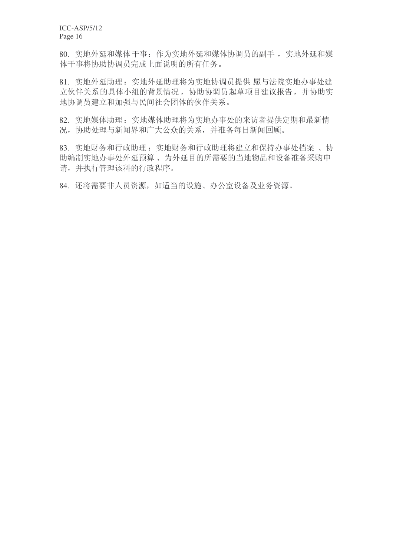80. 实地外延和媒体干事: 作为实地外延和媒体协调员的副手, 实地外延和媒 体干事将协助协调员完成上面说明的所有任务。

81. 实地外延助理: 实地外延助理将为实地协调员提供 愿与法院实地办事处建 立伙伴关系的具体小组的背景情况, 协助协调员起草项目建议报告, 并协助实 地协调员建立和加强与民间社会团体的伙伴关系。

82. 实地媒体助媒体助理将为实地办事处的来访者提供定期和最新情 况, 协助处理与新闻界和广大公众的关系, 并准备每日新闻回顾。

83. 实地财务和行政财务和行政助理将建立和保持办事处档案、协 助编制实地办事处外延预算、为外延目的所需要的当地物品和设备准备采购申 请,并执行管理该科的行政程序。

84. 还将需要非人员资源, 如适当的设施、办公室设备及业务资源。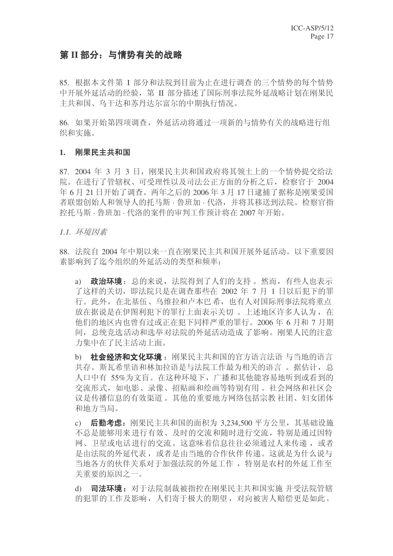# 第 II 部分: 与情势有关的战略

85. 根据本文件第 I 部分和法院到目前为止在进行调查的三个情势的每个情势 中开展外延活动的经验, 第 II 部分描述了国际刑事法院外延战略计划在刚果民 主共和国、乌干达和苏丹达尔富尔的中期执行情况。

86. 如果开始第四项调查, 外延活动将通过一项新的与情势有关的战略进行组 织和实施。

#### 1. 刚果民主共和国

87. 2004 年 3 月 3 日, 刚果民主共和国政府将其领十上的一个情势提交给法 院。在进行了管辖权、可受理性以及司法公正方面的分析之后, 检察官于 2004 年 6 月 21 日开始了调查。两年之后的 2006 年 3 月 17 日逮捕了据称是刚果爱国 者联盟创始人和领导人的托马斯 · 鲁班加 · 代洛, 并将其移送到法院。检察官指 控托马斯 · 鲁班加 · 代洛的案件的审判工作预计将在 2007 年开始。

1.1. 环境因素

88. 法院自 2004 年中期以来一直在刚果民主共和国开展外延活动。以下重要因 素影响到了迄今组织的外延活动的类型和频率:

a) 政治环境: 总的来说, 法院得到了人们的支持 。然而, 有些人也表示 了这样的关切, 即法院只是在调查那些在 2002 年 7 月 1 日以后犯下的罪 行。此外, 在北基伍、乌维拉和卢本巴希, 也有人对国际刑事法院将重点 放在据说是在伊图利犯下的罪行上面表示关切。上述地区许多人认为, 在 他们的地区内也曾有过或正在犯下同样严重的罪行。2006年6月和7月期 间, 总统竞选活动和选举对法院的外延活动造成了影响。刚果人民的注意 力集中在了民主活动上面。

b) 社会经济和文化环境: 刚果民主共和国的官方语言法语 与当地的语言 共存。斯瓦希里语和林加拉语是与法院工作最为相关的语言。据估计,总 人口中有 55%为文盲。在这种环境下, 广播和其他能容易地听到或看到的 交流形式,如电影、录像、招贴画和绘画等特别有用。 社会网络和社区会 议是传播信息的有效渠道。 其他的重要地方网络包括宗教 社团、妇女团体 和地方当局。

c) 后勤考虑: 刚果民主共和国的面积为 3,234,500 平方公里, 其基础设施 不总是能够用来进行有效、及时的交流和随时进行交流,特别是通过因特 网、卫星或电话进行的交流。这意味着信息往往必须通过人来传递, 或者 是由法院的外延代表, 或者是由当地的合作伙伴传递。这就是为什么说与 当地各方的伙伴关系对于加强法院的外延工作, 特别是农村的外延工作至 关重要的原因之一。

d) 司法环境: 对于法院制裁被指控在刚果民主共和国实施 并受法院管辖 的犯罪的工作及影响, 人们寄于极大的期望, 对向被害人赔偿更是如此。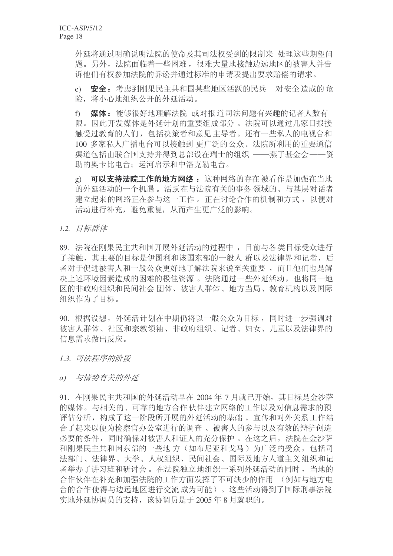外延将通过明确说明法院的使命及其司法权受到的限制来 处理这些期望问 题。另外, 法院面临着一些困难, 很难大量地接触边远地区的被害人并告 诉他们有权参加法院的诉讼并通过标准的申请表提出要求赔偿的请求。

e) 安全: 考虑到刚果民主共和国某些地区活跃的民兵 对安全造成的危 险, 将小心地组织公开的外延活动。

f) 媒体: 能够很好地理解法院 或对报道司法问题有兴趣的记者人数有 限。因此开发媒体是外延计划的重要组成部分。法院可以通过几家日报接 触受过教育的人们, 包括决策者和意见主导者。还有一些私人的电视台和 100 多家私人广播电台可以接触到 更广泛的公众。法院所利用的重要通信 渠道包括由联合国支持并得到总部设在瑞士的组织 ——燕子基金会——资 助的奥卡比电台: 运河启示和中洛克勤电台。

g) 可以支持法院工作的地方网络: 这种网络的存在被看作是加强在当地 的外延活动的一个机遇。活跃在与法院有关的事务 领域的、与基层对话者 建立起来的网络正在参与这一工作。正在讨论合作的机制和方式,以便对 活动进行补充, 避免重复, 从而产生更广泛的影响。

1.2. 目标群体

89. 法院在刚果民主共和国开展外延活动的过程中, 目前与各类目标受众进行 了接触, 其主要的目标是伊图利和该国东部的一般人 群以及法律界和记者, 后 者对于促进被害人和一般公众更好地了解法院来说至关重要,而且他们也是解 决上述环境因素造成的困难的极佳资源。 法院通过一些外延活动, 也将同一地 区的非政府组织和民间社会团体、被害人群体、地方当局、教育机构以及国际 组织作为了目标。

90. 根据设想, 外延活计划在中期仍将以一般公众为目标, 同时进一步强调对 被害人群体、社区和宗教领袖、非政府组织、记者、妇女、儿童以及法律界的 信息需求做出反应。

**1.3.** 司法程序的阶段

*a*) 与情势有关的外延

91. 在刚果民主共和国的外延活动早在 2004 年 7 月就已开始, 其目标是金沙萨 的媒体。与相关的、可靠的地方合作伙伴建立网络的工作以及对信息需求的预 评估分析, 构成了这一阶段所开展的外延活动的基础。官传和对外关系工作结 合了起来以便为检察官办公室进行的调查、被害人的参与以及有效的辩护创造 必要的条件,同时确保对被害人和证人的充分保护。在这之后, 法院在金沙萨 和刚果民主共和国东部的一些地方(如布尼亚和戈马)为广泛的受众, 包括司 法部门、法律界、大学、人权组织、民间社会、国际及地方人道主义组织和记 者举办了讲习班和研讨会。在法院独立地组织一系列外延活动的同时, 当地的 合作伙伴在补充和加强法院的工作方面发挥了不可缺少的作用 (例如与地方电 台的合作使得与边远地区进行交流成为可能)。这些活动得到了国际刑事法院 实地外延协调员的支持,该协调员是于2005年8月就职的。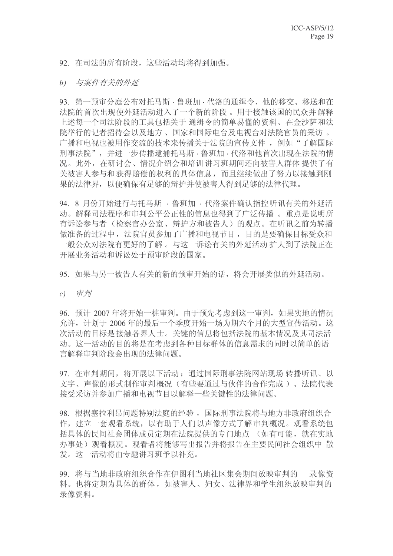92. 在司法的所有阶段, 这些活动均将得到加强。

#### b) 与案件有关的外延

93. 第一预审分庭公布对托马斯 · 鲁班加 · 代洛的通缉令、他的移交、移送和在 法院的首次出现使外延活动进入了一个新的阶段。用于接触该国的民众并解释 上述每一个司法阶段的工具包括关于 通缉令的简单易懂的资料、在金沙萨和法 院举行的记者招待会以及地方、 国家和国际电台及电视台对法院官员的采访 。 广播和电视也被用作交流的技术来传播关于法院的宣传文件, 例如"了解国际 刑事法院",并进一步传播逮捕托马斯·鲁班加·代洛和他首次出现在法院的情 况。此外, 在研讨会、情况介绍会和培训讲习班期间还向被害人群体 提供了有 关被害人参与和获得赔偿的权利的具体信息,而且继续做出了努力以接触到刚 果的法律界,以便确保有足够的辩护并使被害人得到足够的法律代理。

94. 8 月份开始进行与托马斯 · 鲁班加 · 代洛案件确认指控听讯有关的外延活 动。解释司法程序和审判公平公正性的信息也得到了广泛传播 。重点是说明所 有诉讼参与者(检察官办公室、辩护方和被告人)的观点。在听讯之前为转播 做准备的过程中, 法院官员参加了广播和电视节目, 目的是要确保目标受众和 一般公众对法院有更好的了解。与这一诉讼有关的外延活动 扩大到了法院正在 开展业务活动和诉讼处于预审阶段的国家。

95. 如果与另一被告人有关的新的预审开始的话, 将会开展类似的外延活动。

c) 审判

96. 预计 2007 年将开始一桩审判。由于预先考虑到这一审判, 如果实地的情况 允许, 计划于 2006年的最后一个季度开始一场为期六个月的大型宣传活动。这 次活动的目标是接触各界人士。关键的信息将包括法院的基本情况及其司法活 动。这一活动的目的将是在考虑到各种目标群体的信息需求的同时以简单的语 言解释审判阶段会出现的法律问题。

97. 在审判期间, 将开展以下活动: 通过国际刑事法院网站现场 转播听讯、以 文字、声像的形式制作审判概况(有些要通过与伙伴的合作完成)、法院代表 接受采访并参加广播和电视节目以解释一些关键性的法律问题。

98. 根据塞拉利昂问题特别法庭的经验, 国际刑事法院将与地方非政府组织合 作, 建立一套观看系统, 以有助于人们以声像方式了解审判概况。观看系统包 括具体的民间社会团体成员定期在法院提供的专门地点 (如有可能, 就在实地 办事处)观看概况。观看者将能够写出报告并将报告在主要民间社会组织中 散 发。这一活动将由专题讲习班予以补充。

99. 将与当地非政府组织合作在伊图利当地社区集会期间放映审判的 录像资 料。也将定期为具体的群体, 如被害人、妇女、法律界和学生组织放映审判的 录像资料。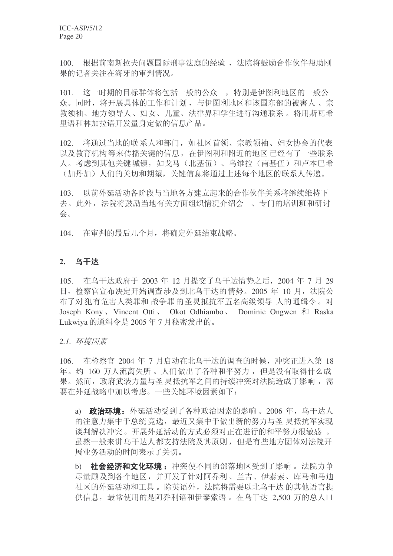100. 根据前南斯拉夫问题国际刑事法庭的经验, 法院将鼓励合作伙伴帮助刚 果的记者关注在海牙的审判情况。

101. 这一时期的目标群体将包括一般的公众, 特别是伊图利地区的一般公 众。同时, 将开展具体的工作和计划, 与伊图利地区和该国东部的被害人、宗 教领袖、地方领导人、妇女、儿童、法律界和学生进行沟通联系。将用斯瓦希 里语和林加拉语开发量身定做的信息产品。

102. 将通过当地的联系人和部门, 如社区首领、宗教领袖、妇女协会的代表 以及教育机构等来传播关键的信息, 在伊图利和附近的地区已经有了一些联系 人。考虑到其他关键城镇, 如戈马(北基伍)、乌维拉(南基伍)和卢本巴希 (加丹加)人们的关切和期望,关键信息将通过上述每个地区的联系人传递。

103. 以前外延活动各阶段与当地各方建立起来的合作伙伴关系将继续维持下 去。此外, 法院将鼓励当地有关方面组织情况介绍会 、专门的培训班和研讨 会。

104. 在审判的最后几个月, 将确定外延结束战略。

### **2.** 乌干达

105. 在乌干达政府干 2003 年 12 月提交了乌干达情势之后, 2004 年 7 月 29 日, 检察官宣布决定开始调查涉及到北乌干达的情势。2005 年 10 月, 法院公 布了对犯有危害人类罪和 战争罪的圣灵抵抗军五名高级领导 人的通缉令。对 Joseph Kony 、 Vincent Otti 、 Okot Odhiambo 、 Dominic Ongwen 和 Raska Lukwiya 的通缉令是 2005 年 7 月秘密发出的。

2.1. 环境因素

106. 在检察官 2004 年 7 月启动在北乌干达的调查的时候, 冲突正进入第 18 年。约 160 万人流离失所。人们做出了各种和平努力, 但是没有取得什么成 果。然而,政府武装力量与圣灵抵抗军之间的持续冲突对法院造成了影响,需 要在外延战略中加以考虑。一些关键环境因素如下:

a) 政治环境: 外延活动受到了各种政治因素的影响。2006年, 乌干达人 的注意力集中于总统 竞选, 最近又集中于做出新的努力与圣 灵抵抗军实现 谈判解决冲突。开展外延活动的方式必须对正在进行的和平努力很敏感 。 虽然一般来讲乌干达人都支持法院及其原则, 但是有些地方团体对法院开 展业务活动的时间表示了关切。

b) **社会经济和文化环境:** 冲突使不同的部落地区受到了影响。法院力争 尽量顾及到各个地区,并开发了针对阿乔利、兰吉、伊泰索、库马和马迪 社区的外延活动和工具。除英语外,法院将需要以北乌干达的其他语言提 供信息, 最常使用的是阿乔利语和伊泰索语。在乌干达 2.500 万的总人口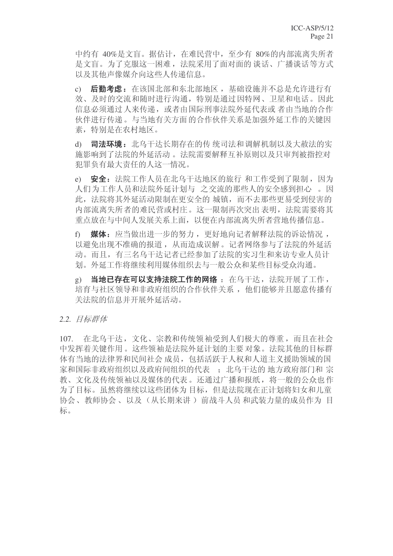中约有 40%是文盲。据估计, 在难民营中, 至少有 80%的内部流离失所者 是文盲。为了克服这一困难, 法院采用了面对面的谈话、广播谈话等方式 以及其他声像媒介向这些人传递信息。

c) 后勤考虑: 在该国北部和东北部地区, 基础设施并不总是允许进行有 效、及时的交流和随时进行沟通, 特别是通过因特网、卫星和电话。因此 信息必须通讨人来传递, 或者由国际刑事法院外延代表或 者由当地的合作 伙伴讲行传说。与当地有关方面的合作伙伴关系是加强外延工作的关键因 素,特别是在农村地区。

d) 司法环境: 北乌干达长期存在的传 统司法和调解机制以及大赦法的实 施影响到了法院的外延活动。法院需要解释互补原则以及只审判被指控对 犯罪负有最大责任的人这一情况。

e) 安全: 法院工作人员在北乌干达地区的旅行 和工作受到了限制, 因为 人们为工作人员和法院外延计划与 之交流的那些人的安全感到担心 。因 此, 法院将其外延活动限制在更安全的 城镇, 而不去那些更易受到侵害的 内部流离失所者的难民营或村庄。这一限制再次突出表明, 法院需要将其 重点放在与中间人发展关系上面, 以便在内部流离失所者营地传播信息。

f) 媒体: 应当做出进一步的努力, 更好地向记者解释法院的诉讼情况, 以避免出现不准确的报道, 从而造成误解。记者网络参与了法院的外延活 动。而且,有三名乌干达记者已经参加了法院的实习生和来访专业人员计 划。外延工作将继续利用媒体组织去与一般公众和某些目标受众沟通。

g) 当地已存在可以支持法院工作的网络: 在鸟干达, 法院开展了工作, 培育与社区领导和非政府组织的合作伙伴关系, 他们能够并且愿意传播有 关法院的信息并开展外延活动。

#### 2.2. 目标群体

107. 在北乌干达, 文化、宗教和传统领袖受到人们极大的尊重, 而且在社会 中发挥着关键作用。这些领袖是法院外延计划的主要对象。法院其他的目标群 体有当地的法律界和民间社会 成员, 包括活跃于人权和人道主义援助领域的国 家和国际非政府组织以及政府间组织的代表:; 北乌干达的 地方政府部门和宗 教、文化及传统领袖以及媒体的代表。还通过广播和报纸,将一般的公众也作 为了目标。虽然将继续以这些团体为目标, 但是法院现在正计划将妇女和儿童 协会、教师协会、以及(从长期来讲) 前战斗人员和武装力量的成员作为目 标。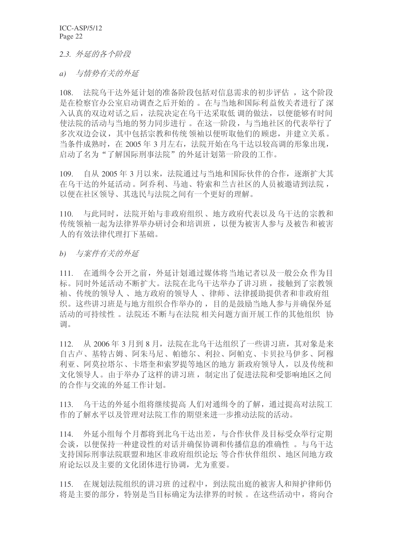2.3. 外延的各个阶段

a) 与情势有关的外延

108. 法院乌干达外延计划的准备阶段包括对信息需求的初步评估, 这个阶段 是在检察官办公室启动调查之后开始的。在与当地和国际利益攸关者进行了深 入认真的双边对话之后, 法院决定在乌干达采取低 调的做法, 以便能够有时间 使法院的活动与当地的努力同步进行。 在这一阶段, 与当地社区的代表举行了 多次双边会议, 其中包括宗教和传统领袖以便听取他们的顾虑, 并建立关系。 当条件成熟时, 在 2005年3月左右, 法院开始在乌干达以较高调的形象出现, 启动了名为"了解国际刑事法院"的外延计划第一阶段的工作。

109. 自从 2005 年 3 月以来, 法院通过与当地和国际伙伴的合作, 逐渐扩大其 在乌干达的外延活动。阿乔利、马迪、特索和兰吉社区的人员被邀请到法院, 以便在社区领导、其选民与法院之间有一个更好的理解。

110. 与此同时, 法院开始与非政府组织、地方政府代表以及乌干达的宗教和 传统领袖一起为法律界举办研讨会和培训班, 以便为被害人参与及被告和被害 人的有效法律代理打下基础。

b) 与案件有关的外延

111. 在通缉令公开之前, 外延计划通过媒体将当地记者以及一般公众作为目 标。同时外延活动不断扩大。法院在北乌干达举办了讲习班,接触到了宗教领 袖、传统的领导人、地方政府的领导人、律师、法律援助提供者和非政府组 织。这些讲习班是与地方组织合作举办的,目的是鼓励当地人参与并确保外延 活动的可持续性。法院还不断与在法院 相关问题方面开展工作的其他组织 协 调。

 $112.$  从 2006年3 月到 8 月, 法院在北乌干达组织了一些讲习班, 其对象是来 自古卢、基特古姆、阿朱马尼、帕德尔、利拉、阿帕克、卡贝拉马伊多、阿穆 利亚、阿莫拉塔尔、卡塔奎和索罗提等地区的地方 新政府领导人, 以及传统和 文化领导人。由于举办了这样的讲习班,制定出了促进法院和受影响地区之间 的合作与交流的外延工作计划。

113. 乌干达的外延小组将继续提高人们对通缉令的了解,通过提高对法院工 作的了解水平以及管理对法院工作的期望来进一步推动法院的活动。

114. 外延小组每个月都将到北乌干达出差, 与合作伙伴及目标受众举行定期 会谈,以便保持一种建设性的对话并确保协调和传播信息的准确性。与乌干达 支持国际刑事法院联盟和地区非政府组织论坛 等合作伙伴组织、地区间地方政 府论坛以及主要的文化团体进行协调, 尤为重要。

115. 在规划法院组织的讲习班的过程中,到法院出庭的被害人和辩护律师仍 将是主要的部分,特别是当目标确定为法律界的时候。在这些活动中,将向合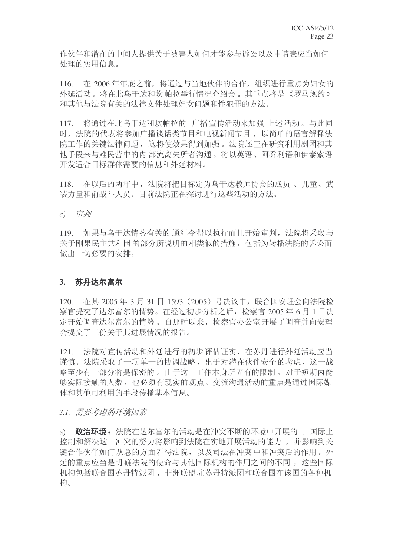作伙伴和潜在的中间人提供关于被害人如何才能参与诉讼以及申请表应当如何 处理的实用信息。

116. 在 2006年年底之前, 将通过与当地伙伴的合作, 组织进行重点为妇女的 外延活动。将在北乌干达和坎帕拉举行情况介绍会。其重点将是《罗马规约》 和其他与法院有关的法律文件处理妇女问题和性犯罪的方法。

117. 将通过在北乌干达和坎帕拉的 广播宣传活动来加强 上述活动。与此同 时, 法院的代表将参加广播谈话类节目和电视新闻节目, 以简单的语言解释法 院工作的关键法律问题, 这将使效果得到加强。法院还正在研究利用剧团和其 他手段来与难民营中的内部流离失所者沟通。将以英语、阿乔利语和伊泰索语 开发适合目标群体需要的信息和外延材料。

118. 在以后的两年中, 法院将把目标定为乌干达教师协会的成员、儿童、武 装力量和前战斗人员。目前法院正在探讨进行这些活动的方法。

 $c)$  审判

119. 如果与乌干达情势有关的 通缉令得以执行而且开始审判, 法院将采取与 关于刚果民主共和国的部分所说明的相类似的措施, 包括为转播法院的诉讼而 做出一切必要的安排。

#### 3. 苏丹达尔富尔

120. 在其 2005年 3 月 31 日 1593 (2005) 号决议中, 联合国安理会向法院检 察官提交了达尔富尔的情势。在经过初步分析之后, 检察官 2005 年 6 月 1 日决 定开始调杳达尔富尔的情势。自那时以来, 检察官办公室开展了调杳并向安理 会提交了三份关于其进展情况的报告。

121. 法院对宣传活动和外延进行的初步评估证实, 在苏丹进行外延活动应当 谨慎。法院采取了一项单一的协调战略,出于对潜在伙伴安全的考虑,这一战 略至少有一部分将是保密的。由于这一工作本身所固有的限制, 对于短期内能 够实际接触的人数, 也必须有现实的观点。交流沟通活动的重点是通过国际媒 体和其他可利用的手段传播基本信息。

#### 3.1. 需要考虑的环境因素

a) **政治环境**: 法院在达尔富尔的活动是在冲突不断的环境中开展的 。 国际上 控制和解决这一冲突的努力将影响到法院在实地开展活动的能力,并影响到关 键合作伙伴如何从总的方面看待法院,以及司法在冲突中和冲突后的作用。外 延的重点应当是明确法院的使命与其他国际机构的作用之间的不同, 这些国际 机构包括联合国苏丹特派团、非洲联盟驻苏丹特派团和联合国在该国的各种机 构。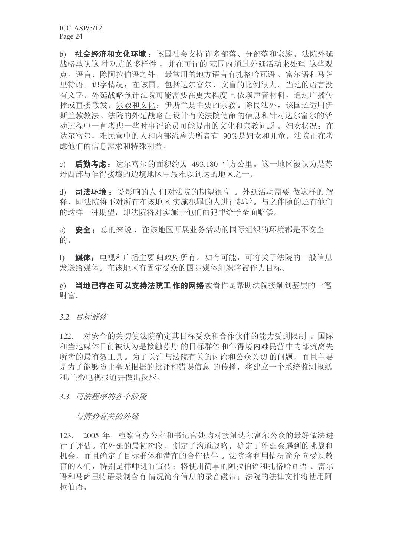b) 社会经济和文化环境: 该国社会支持许多部落、分部落和宗族。法院外延 战略承认这 种观点的多样性, 并在可行的 范围内 通过外延活动来处理 这些观 点。语言: 除阿拉伯语之外, 最常用的地方语言有扎格哈瓦语、富尔语和马萨 里特语。识字情况: 在该国, 包括达尔富尔, 文盲的比例很大。当地的语言没 有文字。外延战略预计法院可能需要在更大程度上依赖声音材料,通过广播传 播或直接散发。宗教和文化: 伊斯兰是主要的宗教。除民法外, 该国还适用伊 斯兰教教法。法院的外延战略在设计有关法院使命的信息和针对达尔富尔的活 动过程中一直考虑一些时事评论员可能提出的文化和宗教问题。妇女状况: 在 达尔富尔,难民营中的人和内部流离失所者有 90%是妇女和儿童。法院正在考 虑他们的信息需求和特殊利益。

c) 后勤考虑: 达尔富尔的面积约为 493.180 平方公里。这一地区被认为是苏 丹西部与乍得接壤的边境地区中最难以到达的地区之一。

d) 司法环境: 受影响的人 们对法院的期望很高。 外延活动需要 做这样的 解 释, 即法院将不对所有在该地区 实施犯罪的人进行起诉。与之伴随的还有他们 的这样一种期望, 即法院将对实施于他们的犯罪给予全面赔偿。

e) 安全: 总的来说, 在该地区开展业务活动的国际组织的环境都是不安全 的。

f) 媒体: 电视和广播主要归政府所有。如有可能,可将关于法院的一般信息 发送给媒体。在该地区有固定受众的国际媒体组织将被作为目标。

g) 当地已存在可以支持法院工作的网络被看作是帮助法院接触到基层的一笔 财富。

3.2. 目标群体

122. 对安全的关切使法院确定其目标受众和合作伙伴的能力受到限制。国际 和当地媒体目前被认为是接触苏丹 的目标群体和乍得境内难民营中内部流离失 所者的最有效工具。为了关注与法院有关的讨论和公众关切的问题,而且主要 是为了能够防止毫无根据的批评和错误信息 的传播, 将建立一个系统监测报纸 和广播/电视报道并做出反应。

3.3. 司法程序的各个阶段

与情势有关的外征

123. 2005 年, 检察官办公室和书记官处均对接触达尔富尔公众的最好做法讲 行了评估。在外延的最初阶段, 制定了沟通战略, 确定了外延会遇到的挑战和 机会,而且确定了目标群体和潜在的合作伙伴。法院将利用情况简介向受过教 育的人们, 特别是律师讲行宣传: 将使用简单的阿拉伯语和扎格哈瓦语、富尔 语和马萨里特语录制含有情况简介信息的录音磁带: 法院的法律文件将使用阿 拉伯语。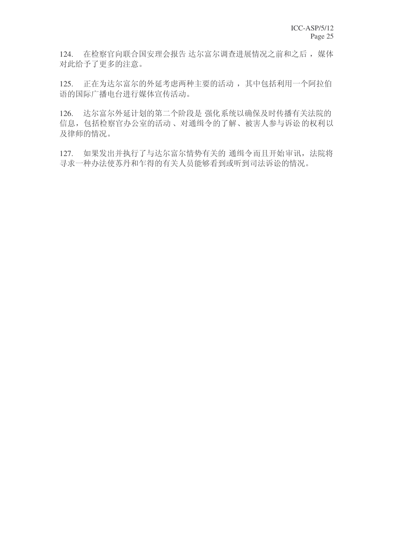124. 在检察官向联合国安理会报告 达尔富尔调查进展情况之前和之后, 媒体 对此给予了更多的注意。

125. 正在为达尔富尔的外延考虑两种主要的活动,其中包括利用一个阿拉伯 语的国际广播电台进行媒体宣传活动。

126. 达尔富尔外延计划的第二个阶段是 强化系统以确保及时传播有关法院的 信息, 包括检察官办公室的活动、对通缉令的了解、被害人参与诉讼的权利以 及律师的情况。

127. 如果发出并执行了与达尔富尔情势有关的 通缉令而且开始审讯, 法院将 寻求一种办法使苏丹和乍得的有关人员能够看到或听到司法诉讼的情况。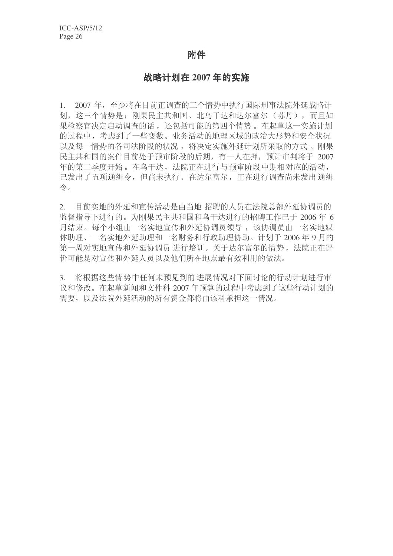# 附件

# 战略计划在 2007 年的实施

1. 2007 年, 至少将在目前正调查的三个情势中执行国际刑事法院外延战略计 划, 这三个情势是: 刚果民主共和国、北乌干达和达尔富尔(苏丹), 而且如 果检察官决定启动调查的话,还包括可能的第四个情势。在起草这一实施计划 的过程中,考虑到了一些变数。业务活动的地理区域的政治大形势和安全状况 以及每一情势的各司法阶段的状况, 将决定实施外延计划所采取的方式。刚果 民主共和国的案件目前处于预审阶段的后期,有一人在押,预计审判将于 2007 年的第二季度开始。在乌干达,法院正在进行与预审阶段中期相对应的活动, 已发出了五项通缉令, 但尚未执行。在达尔富尔, 正在进行调查尚未发出通缉  $\Leftrightarrow$ 

2. 目前实地的外延和宣传活动是由当地 招聘的人员在法院总部外延协调员的 监督指导下进行的。为刚果民主共和国和乌干达进行的招聘工作已干 2006 年 6 月结束。每个小组由一名实地宣传和外延协调员领导, 该协调员由一名实地媒 体助理、一名实地外延助理和一名财务和行政助理协助。计划于2006年9月的 第一周对实地宣传和外延协调员 进行培训。关于达尔富尔的情势, 法院正在评 价可能是对宣传和外延人员以及他们所在地点最有效利用的做法。

3. 将根据这些情势中任何未预见到的 进展情况对下面讨论的行动计划进行审 议和修改。在起草新闻和文件科 2007 年预算的过程中考虑到了这些行动计划的 需要, 以及法院外延活动的所有资金都将由该科承担这一情况。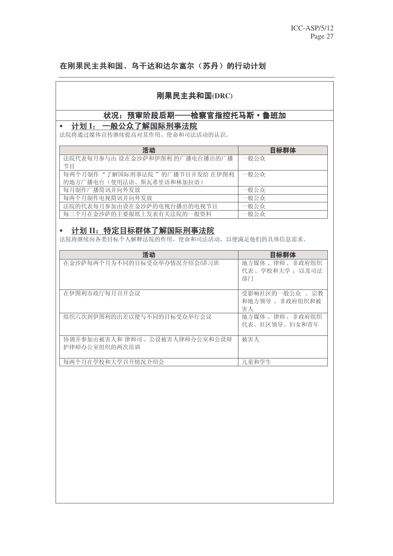# 在刚果民主共和国、乌干达和达尔富尔(苏丹)的行动计划

# 刚果民主共和国(DRC)

# 状况: 预审阶段后期––检察官指控托马斯·鲁班加

# ■ 计划 I: 一般公众了解国际刑事法院

法院将通过媒体宣传继续提高对其作用、使命和司法活动的认识。

| 活动                             | 目标群体 |
|--------------------------------|------|
| 法院代表每月参与由 设在金沙萨和伊图利 的广播电台播出的广播 | 一般公众 |
| 节目                             |      |
| 每两个月制作"了解国际刑事法院 "的广播节目并发给 在伊图利 | 一般公众 |
| 的地方广播电台 (使用法语、斯瓦希里语和林加拉语)      |      |
| 每月制作广播简讯并向外发放                  | 一般公众 |
| 每两个月制作电视简讯并向外发放                | 一般公众 |
| 法院的代表每月参加由设在金沙萨的电视台播出的电视节目     | 一般公众 |
| 每三个月在金沙萨的主要报纸上发表有关法院的一般资料      | 一般公众 |

# ▪ 计划 II: 特定目标群体了解国际刑事法院

法院将继续向各类目标个人解释法院的作用、使命和司法活动,以便满足他们的具体信息需求。

| 活动                                             | 目标群体                                   |
|------------------------------------------------|----------------------------------------|
| 在金沙萨每两个月为不同的目标受众举办情况介绍会/讲习班                    | 地方媒体 、律师、非政府组织<br>代表、学校和大学: 以及司法<br>部门 |
| 在伊图利市政厅每月召开会议                                  | 受影响社区的一般公众 、宗教<br>和地方领导 、非政府组织和被<br>害人 |
| 组织六次到伊图利的出差以便与不同的目标受众举行会议                      | 地方媒体、律师、非政府组织<br>代表、社区领导、妇女和青年         |
| 协调并参加由被害人和 律师司、公设被害人律师办公室和公设辩<br>护律师办公室组织的两次培训 | 被害人                                    |
| 每两个月在学校和大学召开情况介绍会                              | 儿童和学生                                  |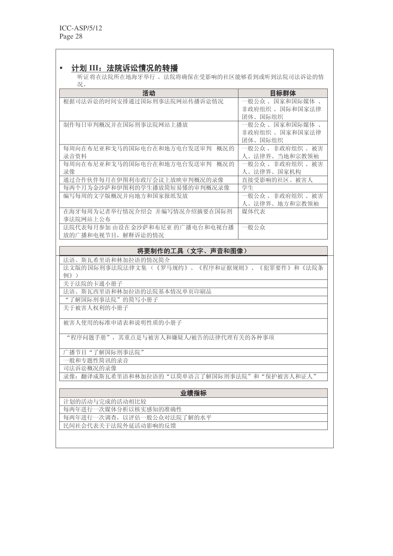## ▪ 计划 III: 法院诉讼情况的转播

听证将在法院所在地海牙举行。 法院将确保在受影响的社区能够看到或听到法院司法诉讼的情 况。

| 活动                               | 目标群体                 |
|----------------------------------|----------------------|
| 根据司法诉讼的时间安排通过国际刑事法院网站传播诉讼情况      | 一般公众 、国家和国际媒体 、      |
|                                  | 非政府组织 、国际和国家法律       |
|                                  | 团体、国际组织              |
| 制作每日审判概况并在国际刑事法院网站上播放            | 一般公众 、国家和国际媒体 、      |
|                                  | 非政府组织 、国家和国家法律       |
|                                  | 团体、国际组织              |
| 每周向在布尼亚和戈马的国际电台在和地方电台发送审判<br>概况的 | 一般公众 , 非政府组织 、<br>被害 |
| 录音资料                             | 人、法律界、当地和宗教领袖        |
| 每周向在布尼亚和戈马的国际电台在和地方电台发送审判<br>概况的 | 一般公众 、 非政府组织 、<br>被害 |
| 录像                               | 人、法律界、国家机构           |
| 通过合作伙伴每月在伊图利市政厅会议上放映审判概况的录像      | 直接受影响的社区、被害人         |
| 每两个月为金沙萨和伊图利的学生播放简短易懂的审判概况录像     | 学生                   |
| 编写每周的文字版概况并向地方和国家报纸发放            | 一般公众 、 非政府组织 、<br>被害 |
|                                  | 人、法律界、地方和宗教领袖        |
| 在海牙每周为记者举行情况介绍会 并编写情况介绍摘要在国际刑    | 媒体代表                 |
| 事法院网站上公布                         |                      |
| 法院代表每月参加 由设在金沙萨和布尼亚 的广播电台和电视台播   | 一般公众                 |
| 放的广播和电视节目, 解释诉讼的情况               |                      |
|                                  |                      |

#### 将要制作的工具(文字、声音和图像)

法语、斯瓦希里语和林加拉语的情况简介

法文版的国际刑事法院法律文集(《罗马规约》、《程序和证据规则》、《犯罪要件》和《法院条 例》)

关于法院的卡通小册子

法语、斯瓦西里语和林加拉语的法院基本情况单页印刷品

"了解国际刑事法院"的简写小册子 关于被害人权利的小册子

被害人使用的标准申请表和说明性质的小册子

"程序问题手册", 其重点是与被害人和嫌疑人/被告的法律代理有关的各种事项

广播节目"了解国际刑事法院"

一般和专题性简讯的录音

司法诉讼概况的录像

录像: 翻译成斯瓦希里语和林加拉语的"以简单语言了解国际刑事法院"和"保护被害人和证人"

| 业绩指标                       |
|----------------------------|
| 计划的活动与完成的活动相比较             |
| 每两年进行一次媒体分析以核实感知的准确性       |
| 每两年进行一次调查, 以评估一般公众对法院了解的水平 |
| 民间社会代表关于法院外延活动影响的反馈        |
|                            |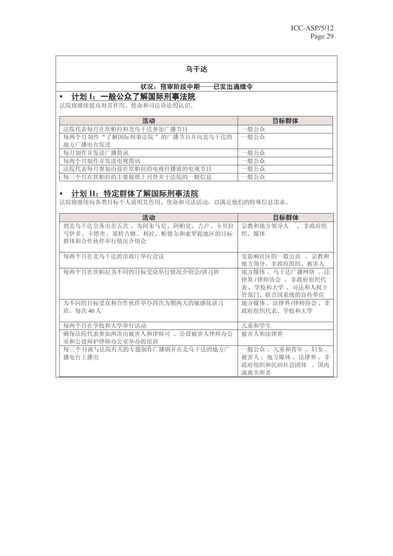# 乌干达

# 状况: 预审阶段中期——已发出通缉令

## ▪ 计划 I: 一般公众了解国际刑事法院

法院将继续提高对其作用、使命和司法诉讼的认识。

| 活动                           | 目标群体 |
|------------------------------|------|
| 法院代表每月在坎帕拉和北乌干达参加广播节目        | 一般公众 |
| 每两个月制作"了解国际刑事法院"的广播节目并向北乌干达的 | 一般公众 |
| 地方广播电台发送                     |      |
| 每月制作并发送广播简讯                  | 一般公众 |
| 每两个月制作并发送电视简讯                | 一般公众 |
| 法院代表每月参加由设在坎帕拉的电视台播放的电视节目    | 一般公众 |
| 每三个月在坎帕拉的主要报纸上刊登关于法院的一般信息    | 一般公众 |

# ▪ 计划 II: 特定群体了解国际刑事法院

法院将继续向各类目标个人说明其作用、使命和司法活动,以满足他们的特殊信息需求。

| 活动                                                                                 | 目标群体                                                                   |
|------------------------------------------------------------------------------------|------------------------------------------------------------------------|
| 到北乌干达公务出差五次 ,为阿朱马尼 、阿帕克 、古卢 、卡贝拉<br>马伊多、卡塔奎、基特古姆、利拉、帕德尔和索罗提地区的目标<br>群体和合作伙伴举行情况介绍会 | 宗教和地方领导人 、 非政府组<br>织、媒体                                                |
| 每两个月在北乌干达的市政厅举行会议                                                                  | 受影响社区的一般公众 、 宗教和<br>地方领导、非政府组织、被害人                                     |
| 每两个月在坎帕拉为不同的目标受众举行情况介绍会/讲习班                                                        | 地方媒体、乌干达广播网络、法<br>律界/律师协会 、非政府组织代<br>表、学校和大学 、司法和人权主<br>管部门、联合国系统的宣传单位 |
| 为不同的目标受众和合作伙伴举办四次为期两天的敏感化讲习<br>班, 每次 40 人                                          | 地方媒体 、法律界/律师协会 、非<br>政府组织代表、学校和大学                                      |
| 每两个月在学校和大学举行活动                                                                     | 儿童和学生                                                                  |
| 确保法院代表参加两次由被害人和律师司 、公设被害人律师办公<br>室和公设辩护律师办公室举办的培训                                  | 被害人和法律界                                                                |
| 每三个月就与法院有关的专题制作广播剧并在北乌干达的地方广<br>播电台上播出                                             | 一般公众、儿童和青年、妇女、<br>被害人 、地方媒体 、法律界 、非<br>政府组织和民间社会团体 、国内<br>流离失所者        |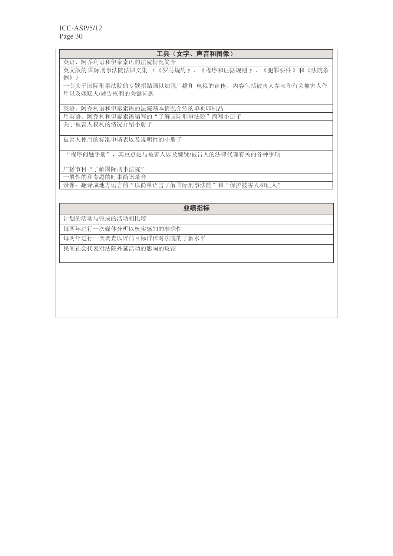| 工具(文字、声音和图像)                                                      |
|-------------------------------------------------------------------|
| 英语、阿乔利语和伊泰索语的法院情况简介                                               |
| 英文版的国际刑事法院法律文集 (《罗马规约》、《程序和证据规则》、《犯罪要件》和《法院条<br>例》)               |
| 一套关于国际刑事法院的专题招贴画以加强广播和 电视的宣传,内容包括被害人参与和有关被害人作<br>用以及嫌疑人/被告权利的关键问题 |
| 英语、阿乔利语和伊泰索语的法院基本情况介绍的单页印刷品                                       |
| 用英语、阿乔利和伊泰索语编写的"了解国际刑事法院"简写小册子                                    |
| 关于被害人权利的情况介绍小册子                                                   |
| 被害人使用的标准申请表以及说明性的小册子                                              |
| "程序问题手册",其重点是与被害人以及嫌疑/被告人的法律代理有关的各种事项                             |
| 广播节目"了解国际刑事法院"                                                    |
| 一般性的和专题的时事简讯录音                                                    |
| 录像: 翻译成地方语言的"以简单语言了解国际刑事法院"和"保护被害人和证人"                            |
| 业绩指标                                                              |
| 计划的活动与完成的活动相比较                                                    |
| 每两年进行一次媒体分析以核实感知的准确性                                              |
| 每两年讲行一次调查以评估目标群体对法院的了解水平                                          |
| 民间社会代表对法院外延活动的影响的反馈                                               |
|                                                                   |
|                                                                   |
|                                                                   |